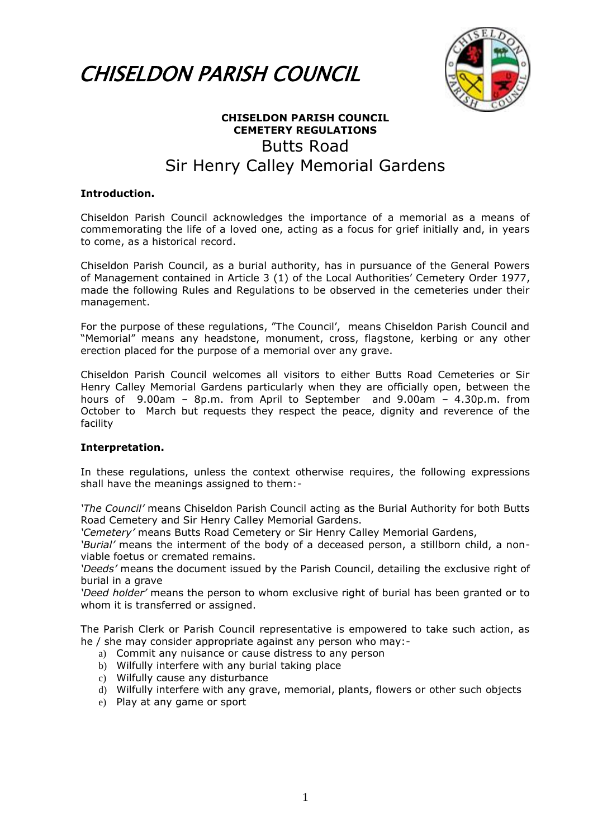



## **CHISELDON PARISH COUNCIL CEMETERY REGULATIONS** Butts Road Sir Henry Calley Memorial Gardens

## **Introduction.**

Chiseldon Parish Council acknowledges the importance of a memorial as a means of commemorating the life of a loved one, acting as a focus for grief initially and, in years to come, as a historical record.

Chiseldon Parish Council, as a burial authority, has in pursuance of the General Powers of Management contained in Article 3 (1) of the Local Authorities' Cemetery Order 1977, made the following Rules and Regulations to be observed in the cemeteries under their management.

For the purpose of these regulations, "The Council', means Chiseldon Parish Council and "Memorial" means any headstone, monument, cross, flagstone, kerbing or any other erection placed for the purpose of a memorial over any grave.

Chiseldon Parish Council welcomes all visitors to either Butts Road Cemeteries or Sir Henry Calley Memorial Gardens particularly when they are officially open, between the hours of 9.00am – 8p.m. from April to September and 9.00am – 4.30p.m. from October to March but requests they respect the peace, dignity and reverence of the facility

## **Interpretation.**

In these regulations, unless the context otherwise requires, the following expressions shall have the meanings assigned to them:-

*'The Council'* means Chiseldon Parish Council acting as the Burial Authority for both Butts Road Cemetery and Sir Henry Calley Memorial Gardens.

*'Cemetery'* means Butts Road Cemetery or Sir Henry Calley Memorial Gardens,

*'Burial'* means the interment of the body of a deceased person, a stillborn child, a nonviable foetus or cremated remains.

*'Deeds'* means the document issued by the Parish Council, detailing the exclusive right of burial in a grave

*'Deed holder'* means the person to whom exclusive right of burial has been granted or to whom it is transferred or assigned.

The Parish Clerk or Parish Council representative is empowered to take such action, as he / she may consider appropriate against any person who may:-

- a) Commit any nuisance or cause distress to any person
- b) Wilfully interfere with any burial taking place
- c) Wilfully cause any disturbance
- d) Wilfully interfere with any grave, memorial, plants, flowers or other such objects
- e) Play at any game or sport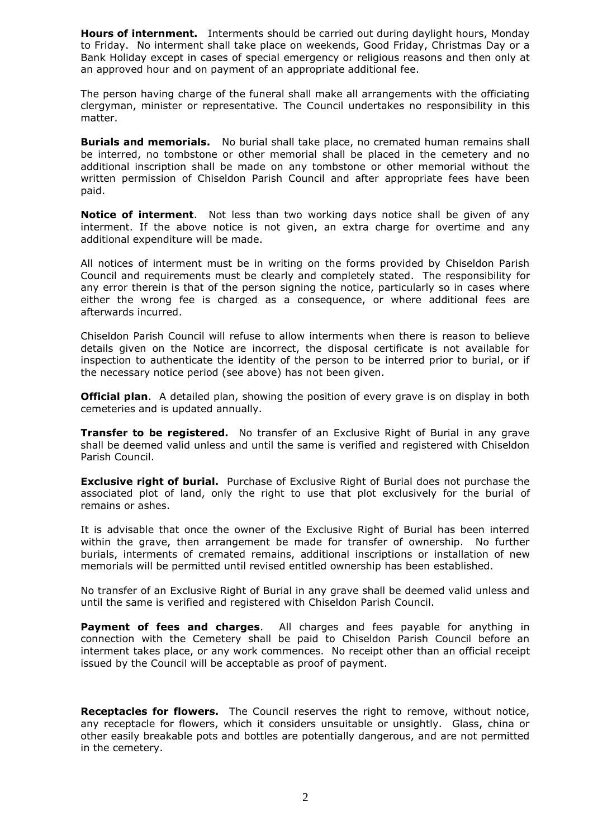**Hours of internment.** Interments should be carried out during daylight hours, Monday to Friday. No interment shall take place on weekends, Good Friday, Christmas Day or a Bank Holiday except in cases of special emergency or religious reasons and then only at an approved hour and on payment of an appropriate additional fee.

The person having charge of the funeral shall make all arrangements with the officiating clergyman, minister or representative. The Council undertakes no responsibility in this matter.

**Burials and memorials.** No burial shall take place, no cremated human remains shall be interred, no tombstone or other memorial shall be placed in the cemetery and no additional inscription shall be made on any tombstone or other memorial without the written permission of Chiseldon Parish Council and after appropriate fees have been paid.

**Notice of interment**. Not less than two working days notice shall be given of any interment. If the above notice is not given, an extra charge for overtime and any additional expenditure will be made.

All notices of interment must be in writing on the forms provided by Chiseldon Parish Council and requirements must be clearly and completely stated. The responsibility for any error therein is that of the person signing the notice, particularly so in cases where either the wrong fee is charged as a consequence, or where additional fees are afterwards incurred.

Chiseldon Parish Council will refuse to allow interments when there is reason to believe details given on the Notice are incorrect, the disposal certificate is not available for inspection to authenticate the identity of the person to be interred prior to burial, or if the necessary notice period (see above) has not been given.

**Official plan**. A detailed plan, showing the position of every grave is on display in both cemeteries and is updated annually.

**Transfer to be registered.** No transfer of an Exclusive Right of Burial in any grave shall be deemed valid unless and until the same is verified and registered with Chiseldon Parish Council.

**Exclusive right of burial.** Purchase of Exclusive Right of Burial does not purchase the associated plot of land, only the right to use that plot exclusively for the burial of remains or ashes.

It is advisable that once the owner of the Exclusive Right of Burial has been interred within the grave, then arrangement be made for transfer of ownership. No further burials, interments of cremated remains, additional inscriptions or installation of new memorials will be permitted until revised entitled ownership has been established.

No transfer of an Exclusive Right of Burial in any grave shall be deemed valid unless and until the same is verified and registered with Chiseldon Parish Council.

**Payment of fees and charges**. All charges and fees payable for anything in connection with the Cemetery shall be paid to Chiseldon Parish Council before an interment takes place, or any work commences. No receipt other than an official receipt issued by the Council will be acceptable as proof of payment.

**Receptacles for flowers.** The Council reserves the right to remove, without notice, any receptacle for flowers, which it considers unsuitable or unsightly. Glass, china or other easily breakable pots and bottles are potentially dangerous, and are not permitted in the cemetery.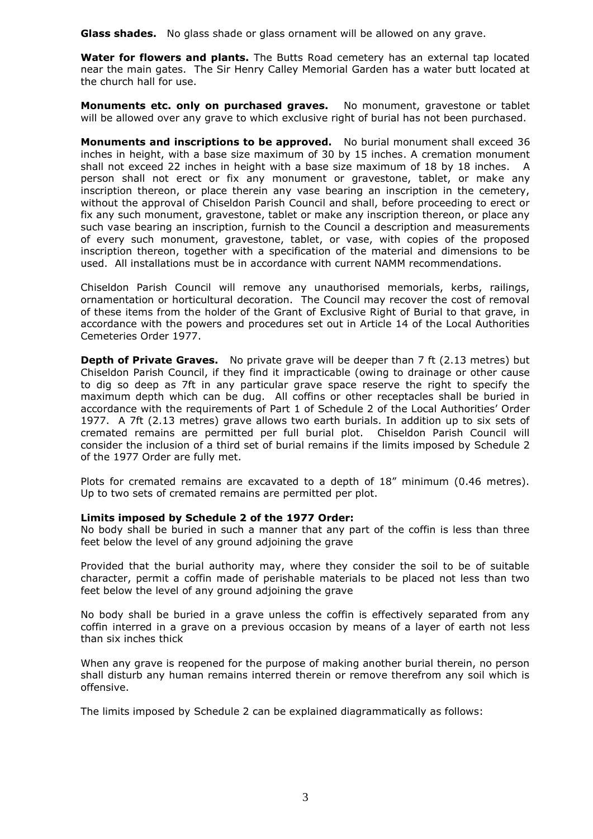**Glass shades.** No glass shade or glass ornament will be allowed on any grave.

**Water for flowers and plants.** The Butts Road cemetery has an external tap located near the main gates. The Sir Henry Calley Memorial Garden has a water butt located at the church hall for use.

**Monuments etc. only on purchased graves.** No monument, gravestone or tablet will be allowed over any grave to which exclusive right of burial has not been purchased.

**Monuments and inscriptions to be approved.** No burial monument shall exceed 36 inches in height, with a base size maximum of 30 by 15 inches. A cremation monument shall not exceed 22 inches in height with a base size maximum of 18 by 18 inches. A person shall not erect or fix any monument or gravestone, tablet, or make any inscription thereon, or place therein any vase bearing an inscription in the cemetery, without the approval of Chiseldon Parish Council and shall, before proceeding to erect or fix any such monument, gravestone, tablet or make any inscription thereon, or place any such vase bearing an inscription, furnish to the Council a description and measurements of every such monument, gravestone, tablet, or vase, with copies of the proposed inscription thereon, together with a specification of the material and dimensions to be used. All installations must be in accordance with current NAMM recommendations.

Chiseldon Parish Council will remove any unauthorised memorials, kerbs, railings, ornamentation or horticultural decoration. The Council may recover the cost of removal of these items from the holder of the Grant of Exclusive Right of Burial to that grave, in accordance with the powers and procedures set out in Article 14 of the Local Authorities Cemeteries Order 1977.

**Depth of Private Graves.** No private grave will be deeper than 7 ft (2.13 metres) but Chiseldon Parish Council, if they find it impracticable (owing to drainage or other cause to dig so deep as 7ft in any particular grave space reserve the right to specify the maximum depth which can be dug. All coffins or other receptacles shall be buried in accordance with the requirements of Part 1 of Schedule 2 of the Local Authorities' Order 1977. A 7ft (2.13 metres) grave allows two earth burials. In addition up to six sets of cremated remains are permitted per full burial plot. Chiseldon Parish Council will consider the inclusion of a third set of burial remains if the limits imposed by Schedule 2 of the 1977 Order are fully met.

Plots for cremated remains are excavated to a depth of 18" minimum (0.46 metres). Up to two sets of cremated remains are permitted per plot.

## **Limits imposed by Schedule 2 of the 1977 Order:**

No body shall be buried in such a manner that any part of the coffin is less than three feet below the level of any ground adjoining the grave

Provided that the burial authority may, where they consider the soil to be of suitable character, permit a coffin made of perishable materials to be placed not less than two feet below the level of any ground adjoining the grave

No body shall be buried in a grave unless the coffin is effectively separated from any coffin interred in a grave on a previous occasion by means of a layer of earth not less than six inches thick

When any grave is reopened for the purpose of making another burial therein, no person shall disturb any human remains interred therein or remove therefrom any soil which is offensive.

The limits imposed by Schedule 2 can be explained diagrammatically as follows: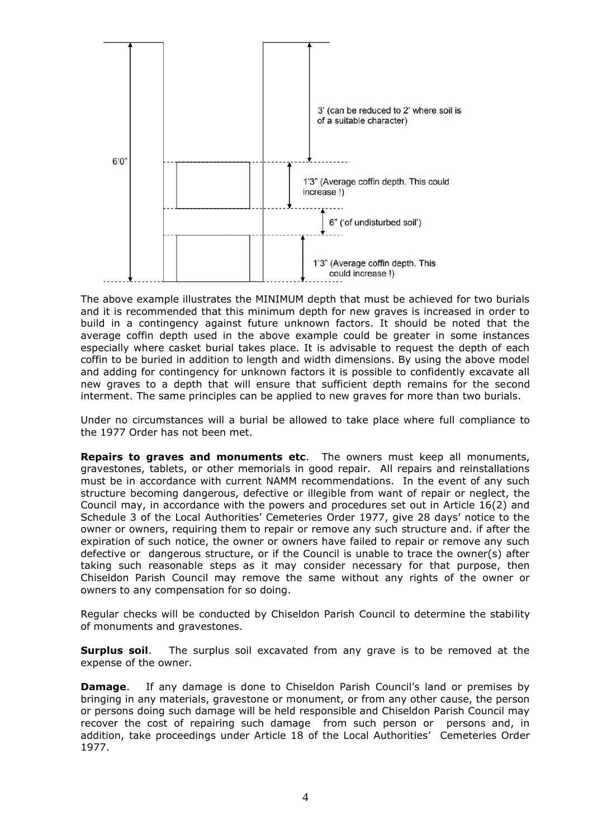

The above example illustrates the MINIMUM depth that must be achieved for two burials and it is recommended that this minimum depth for new graves is increased in order to build in a contingency against future unknown factors. It should be noted that the average coffin depth used in the above example could be greater in some instances especially where casket burial takes place. It is advisable to request the depth of each coffin to be buried in addition to length and width dimensions. By using the above model and adding for contingency for unknown factors it is possible to confidently excavate all new graves to a depth that will ensure that sufficient depth remains for the second interment. The same principles can be applied to new graves for more than two burials.

Under no circumstances will a burial be allowed to take place where full compliance to the 1977 Order has not been met.

**Repairs to graves and monuments etc**. The owners must keep all monuments, gravestones, tablets, or other memorials in good repair. All repairs and reinstallations must be in accordance with current NAMM recommendations. In the event of any such structure becoming dangerous, defective or illegible from want of repair or neglect, the Council may, in accordance with the powers and procedures set out in Article 16(2) and Schedule 3 of the Local Authorities' Cemeteries Order 1977, give 28 days' notice to the owner or owners, requiring them to repair or remove any such structure and. if after the expiration of such notice, the owner or owners have failed to repair or remove any such defective or dangerous structure, or if the Council is unable to trace the owner(s) after taking such reasonable steps as it may consider necessary for that purpose, then Chiseldon Parish Council may remove the same without any rights of the owner or owners to any compensation for so doing.

Regular checks will be conducted by Chiseldon Parish Council to determine the stability of monuments and gravestones.

**Surplus soil**. The surplus soil excavated from any grave is to be removed at the expense of the owner.

**Damage.** If any damage is done to Chiseldon Parish Council's land or premises by bringing in any materials, gravestone or monument, or from any other cause, the person or persons doing such damage will be held responsible and Chiseldon Parish Council may recover the cost of repairing such damage from such person or persons and, in addition, take proceedings under Article 18 of the Local Authorities' Cemeteries Order 1977.